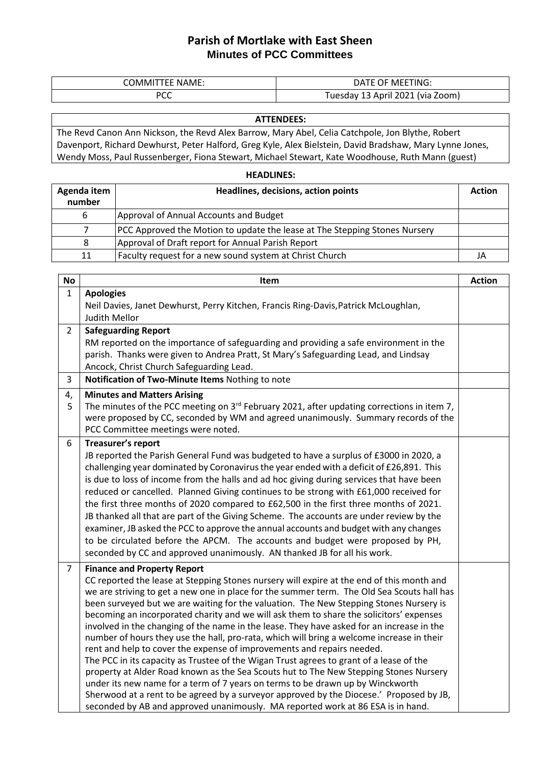## **Parish of Mortlake with East Sheen Minutes of PCC Committees**

| <b>NAME</b> | TING:<br>∆ני<br>υн.<br>-<br><b>IVIF</b>         |
|-------------|-------------------------------------------------|
| ממח<br>ັບ   | oom)<br>lvıa<br>ucsua<br>ີ<br>--<br><u>_v__</u> |

## **ATTENDEES:**

The Revd Canon Ann Nickson, the Revd Alex Barrow, Mary Abel, Celia Catchpole, Jon Blythe, Robert Davenport, Richard Dewhurst, Peter Halford, Greg Kyle, Alex Bielstein, David Bradshaw, Mary Lynne Jones, Wendy Moss, Paul Russenberger, Fiona Stewart, Michael Stewart, Kate Woodhouse, Ruth Mann (guest)

## **HEADLINES:**

| Agenda item<br>number | Headlines, decisions, action points                                        | <b>Action</b> |
|-----------------------|----------------------------------------------------------------------------|---------------|
| b                     | Approval of Annual Accounts and Budget                                     |               |
|                       | PCC Approved the Motion to update the lease at The Stepping Stones Nursery |               |
|                       | Approval of Draft report for Annual Parish Report                          |               |
| 11                    | Faculty request for a new sound system at Christ Church                    | JA            |

| <b>No</b>      | Item                                                                                                                                                                                 | <b>Action</b> |
|----------------|--------------------------------------------------------------------------------------------------------------------------------------------------------------------------------------|---------------|
| $\mathbf{1}$   | <b>Apologies</b>                                                                                                                                                                     |               |
|                | Neil Davies, Janet Dewhurst, Perry Kitchen, Francis Ring-Davis, Patrick McLoughlan,                                                                                                  |               |
|                | Judith Mellor                                                                                                                                                                        |               |
| $\overline{2}$ | <b>Safeguarding Report</b>                                                                                                                                                           |               |
|                | RM reported on the importance of safeguarding and providing a safe environment in the                                                                                                |               |
|                | parish. Thanks were given to Andrea Pratt, St Mary's Safeguarding Lead, and Lindsay                                                                                                  |               |
|                | Ancock, Christ Church Safeguarding Lead.                                                                                                                                             |               |
| 3              | Notification of Two-Minute Items Nothing to note                                                                                                                                     |               |
| 4,             | <b>Minutes and Matters Arising</b>                                                                                                                                                   |               |
| 5              | The minutes of the PCC meeting on $3^{rd}$ February 2021, after updating corrections in item 7,                                                                                      |               |
|                | were proposed by CC, seconded by WM and agreed unanimously. Summary records of the                                                                                                   |               |
|                | PCC Committee meetings were noted.                                                                                                                                                   |               |
| 6              | Treasurer's report                                                                                                                                                                   |               |
|                | JB reported the Parish General Fund was budgeted to have a surplus of £3000 in 2020, a                                                                                               |               |
|                | challenging year dominated by Coronavirus the year ended with a deficit of £26,891. This                                                                                             |               |
|                | is due to loss of income from the halls and ad hoc giving during services that have been                                                                                             |               |
|                | reduced or cancelled. Planned Giving continues to be strong with £61,000 received for                                                                                                |               |
|                | the first three months of 2020 compared to £62,500 in the first three months of 2021.                                                                                                |               |
|                | JB thanked all that are part of the Giving Scheme. The accounts are under review by the                                                                                              |               |
|                | examiner, JB asked the PCC to approve the annual accounts and budget with any changes                                                                                                |               |
|                | to be circulated before the APCM. The accounts and budget were proposed by PH,                                                                                                       |               |
|                | seconded by CC and approved unanimously. AN thanked JB for all his work.                                                                                                             |               |
| $\overline{7}$ | <b>Finance and Property Report</b>                                                                                                                                                   |               |
|                | CC reported the lease at Stepping Stones nursery will expire at the end of this month and                                                                                            |               |
|                | we are striving to get a new one in place for the summer term. The Old Sea Scouts hall has                                                                                           |               |
|                | been surveyed but we are waiting for the valuation. The New Stepping Stones Nursery is                                                                                               |               |
|                | becoming an incorporated charity and we will ask them to share the solicitors' expenses<br>involved in the changing of the name in the lease. They have asked for an increase in the |               |
|                | number of hours they use the hall, pro-rata, which will bring a welcome increase in their                                                                                            |               |
|                | rent and help to cover the expense of improvements and repairs needed.                                                                                                               |               |
|                | The PCC in its capacity as Trustee of the Wigan Trust agrees to grant of a lease of the                                                                                              |               |
|                | property at Alder Road known as the Sea Scouts hut to The New Stepping Stones Nursery                                                                                                |               |
|                | under its new name for a term of 7 years on terms to be drawn up by Winckworth                                                                                                       |               |
|                | Sherwood at a rent to be agreed by a surveyor approved by the Diocese.' Proposed by JB,                                                                                              |               |
|                | seconded by AB and approved unanimously. MA reported work at 86 ESA is in hand.                                                                                                      |               |
|                |                                                                                                                                                                                      |               |